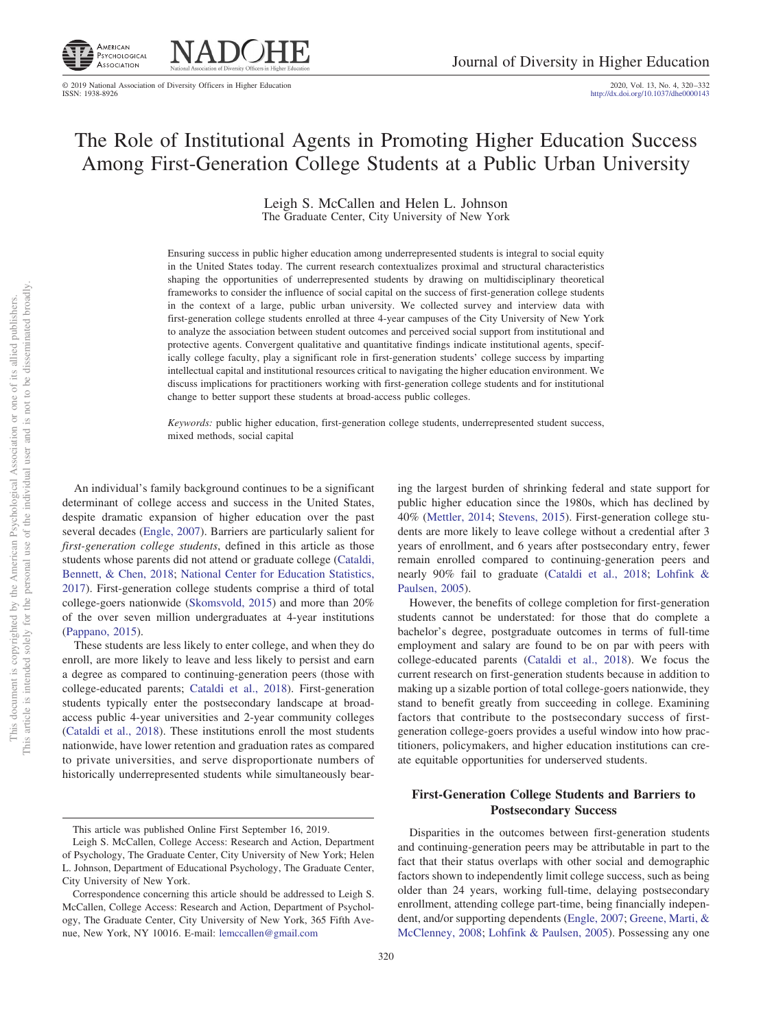

**NADOHE** 

# The Role of Institutional Agents in Promoting Higher Education Success Among First-Generation College Students at a Public Urban University

Leigh S. McCallen and Helen L. Johnson The Graduate Center, City University of New York

Ensuring success in public higher education among underrepresented students is integral to social equity in the United States today. The current research contextualizes proximal and structural characteristics shaping the opportunities of underrepresented students by drawing on multidisciplinary theoretical frameworks to consider the influence of social capital on the success of first-generation college students in the context of a large, public urban university. We collected survey and interview data with first-generation college students enrolled at three 4-year campuses of the City University of New York to analyze the association between student outcomes and perceived social support from institutional and protective agents. Convergent qualitative and quantitative findings indicate institutional agents, specifically college faculty, play a significant role in first-generation students' college success by imparting intellectual capital and institutional resources critical to navigating the higher education environment. We discuss implications for practitioners working with first-generation college students and for institutional change to better support these students at broad-access public colleges.

*Keywords:* public higher education, first-generation college students, underrepresented student success, mixed methods, social capital

An individual's family background continues to be a significant determinant of college access and success in the United States, despite dramatic expansion of higher education over the past several decades [\(Engle, 2007\)](#page-11-0). Barriers are particularly salient for *first-generation college students*, defined in this article as those students whose parents did not attend or graduate college [\(Cataldi,](#page-10-0) [Bennett, & Chen, 2018;](#page-10-0) [National Center for Education Statistics,](#page-12-0) [2017\)](#page-12-0). First-generation college students comprise a third of total college-goers nationwide [\(Skomsvold, 2015\)](#page-12-1) and more than 20% of the over seven million undergraduates at 4-year institutions [\(Pappano, 2015\)](#page-12-2).

These students are less likely to enter college, and when they do enroll, are more likely to leave and less likely to persist and earn a degree as compared to continuing-generation peers (those with college-educated parents; [Cataldi et al., 2018\)](#page-10-0). First-generation students typically enter the postsecondary landscape at broadaccess public 4-year universities and 2-year community colleges [\(Cataldi et al., 2018\)](#page-10-0). These institutions enroll the most students nationwide, have lower retention and graduation rates as compared to private universities, and serve disproportionate numbers of historically underrepresented students while simultaneously bearing the largest burden of shrinking federal and state support for public higher education since the 1980s, which has declined by 40% [\(Mettler, 2014;](#page-11-1) [Stevens, 2015\)](#page-12-3). First-generation college students are more likely to leave college without a credential after 3 years of enrollment, and 6 years after postsecondary entry, fewer remain enrolled compared to continuing-generation peers and nearly 90% fail to graduate [\(Cataldi et al., 2018;](#page-10-0) [Lohfink &](#page-11-2) [Paulsen, 2005\)](#page-11-2).

However, the benefits of college completion for first-generation students cannot be understated: for those that do complete a bachelor's degree, postgraduate outcomes in terms of full-time employment and salary are found to be on par with peers with college-educated parents [\(Cataldi et al., 2018\)](#page-10-0). We focus the current research on first-generation students because in addition to making up a sizable portion of total college-goers nationwide, they stand to benefit greatly from succeeding in college. Examining factors that contribute to the postsecondary success of firstgeneration college-goers provides a useful window into how practitioners, policymakers, and higher education institutions can create equitable opportunities for underserved students.

# **First-Generation College Students and Barriers to Postsecondary Success**

Disparities in the outcomes between first-generation students and continuing-generation peers may be attributable in part to the fact that their status overlaps with other social and demographic factors shown to independently limit college success, such as being older than 24 years, working full-time, delaying postsecondary enrollment, attending college part-time, being financially independent, and/or supporting dependents [\(Engle, 2007;](#page-11-0) [Greene, Marti, &](#page-11-3) [McClenney, 2008;](#page-11-3) [Lohfink & Paulsen, 2005\)](#page-11-2). Possessing any one

This article was published Online First September 16, 2019.

Leigh S. McCallen, College Access: Research and Action, Department of Psychology, The Graduate Center, City University of New York; Helen L. Johnson, Department of Educational Psychology, The Graduate Center, City University of New York.

Correspondence concerning this article should be addressed to Leigh S. McCallen, College Access: Research and Action, Department of Psychology, The Graduate Center, City University of New York, 365 Fifth Avenue, New York, NY 10016. E-mail: [lemccallen@gmail.com](mailto:lemccallen@gmail.com)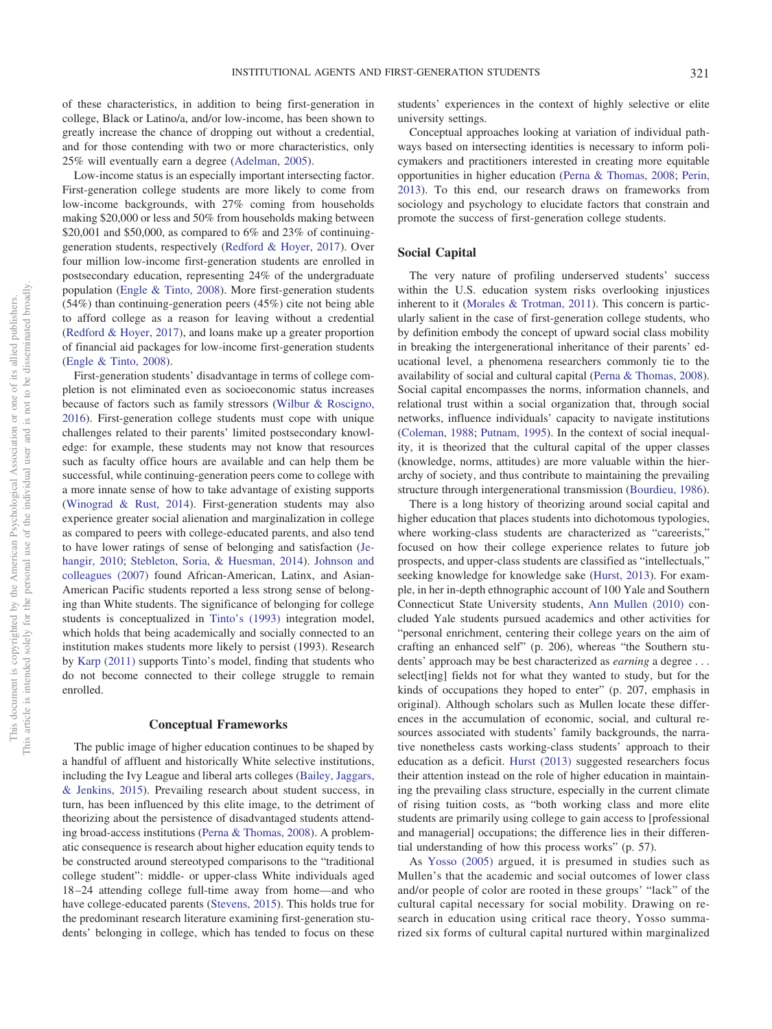of these characteristics, in addition to being first-generation in college, Black or Latino/a, and/or low-income, has been shown to greatly increase the chance of dropping out without a credential, and for those contending with two or more characteristics, only 25% will eventually earn a degree [\(Adelman, 2005\)](#page-10-1).

Low-income status is an especially important intersecting factor. First-generation college students are more likely to come from low-income backgrounds, with 27% coming from households making \$20,000 or less and 50% from households making between \$20,001 and \$50,000, as compared to 6% and 23% of continuinggeneration students, respectively [\(Redford & Hoyer, 2017\)](#page-12-4). Over four million low-income first-generation students are enrolled in postsecondary education, representing 24% of the undergraduate population [\(Engle & Tinto, 2008\)](#page-11-4). More first-generation students (54%) than continuing-generation peers (45%) cite not being able to afford college as a reason for leaving without a credential [\(Redford & Hoyer, 2017\)](#page-12-4), and loans make up a greater proportion of financial aid packages for low-income first-generation students [\(Engle & Tinto, 2008\)](#page-11-4).

First-generation students' disadvantage in terms of college completion is not eliminated even as socioeconomic status increases because of factors such as family stressors [\(Wilbur & Roscigno,](#page-12-5) [2016\)](#page-12-5). First-generation college students must cope with unique challenges related to their parents' limited postsecondary knowledge: for example, these students may not know that resources such as faculty office hours are available and can help them be successful, while continuing-generation peers come to college with a more innate sense of how to take advantage of existing supports [\(Winograd & Rust, 2014\)](#page-12-6). First-generation students may also experience greater social alienation and marginalization in college as compared to peers with college-educated parents, and also tend to have lower ratings of sense of belonging and satisfaction [\(Je](#page-11-5)[hangir, 2010;](#page-11-5) [Stebleton, Soria, & Huesman, 2014\)](#page-12-7). [Johnson and](#page-11-6) [colleagues \(2007\)](#page-11-6) found African-American, Latinx, and Asian-American Pacific students reported a less strong sense of belonging than White students. The significance of belonging for college students is conceptualized in [Tinto's \(1993\)](#page-12-8) integration model, which holds that being academically and socially connected to an institution makes students more likely to persist (1993). Research by [Karp \(2011\)](#page-11-7) supports Tinto's model, finding that students who do not become connected to their college struggle to remain enrolled.

## **Conceptual Frameworks**

The public image of higher education continues to be shaped by a handful of affluent and historically White selective institutions, including the Ivy League and liberal arts colleges [\(Bailey, Jaggars,](#page-10-2) [& Jenkins, 2015\)](#page-10-2). Prevailing research about student success, in turn, has been influenced by this elite image, to the detriment of theorizing about the persistence of disadvantaged students attending broad-access institutions [\(Perna & Thomas, 2008\)](#page-12-9). A problematic consequence is research about higher education equity tends to be constructed around stereotyped comparisons to the "traditional college student": middle- or upper-class White individuals aged 18 –24 attending college full-time away from home—and who have college-educated parents [\(Stevens, 2015\)](#page-12-3). This holds true for the predominant research literature examining first-generation students' belonging in college, which has tended to focus on these

students' experiences in the context of highly selective or elite university settings.

Conceptual approaches looking at variation of individual pathways based on intersecting identities is necessary to inform policymakers and practitioners interested in creating more equitable opportunities in higher education [\(Perna & Thomas, 2008;](#page-12-9) [Perin,](#page-12-10) [2013\)](#page-12-10). To this end, our research draws on frameworks from sociology and psychology to elucidate factors that constrain and promote the success of first-generation college students.

#### **Social Capital**

The very nature of profiling underserved students' success within the U.S. education system risks overlooking injustices inherent to it [\(Morales & Trotman, 2011\)](#page-11-8). This concern is particularly salient in the case of first-generation college students, who by definition embody the concept of upward social class mobility in breaking the intergenerational inheritance of their parents' educational level, a phenomena researchers commonly tie to the availability of social and cultural capital [\(Perna & Thomas, 2008\)](#page-12-9). Social capital encompasses the norms, information channels, and relational trust within a social organization that, through social networks, influence individuals' capacity to navigate institutions [\(Coleman, 1988;](#page-11-9) [Putnam, 1995\)](#page-12-11). In the context of social inequality, it is theorized that the cultural capital of the upper classes (knowledge, norms, attitudes) are more valuable within the hierarchy of society, and thus contribute to maintaining the prevailing structure through intergenerational transmission [\(Bourdieu, 1986\)](#page-10-3).

There is a long history of theorizing around social capital and higher education that places students into dichotomous typologies, where working-class students are characterized as "careerists," focused on how their college experience relates to future job prospects, and upper-class students are classified as "intellectuals," seeking knowledge for knowledge sake [\(Hurst, 2013\)](#page-11-10). For example, in her in-depth ethnographic account of 100 Yale and Southern Connecticut State University students, [Ann Mullen \(2010\)](#page-12-12) concluded Yale students pursued academics and other activities for "personal enrichment, centering their college years on the aim of crafting an enhanced self" (p. 206), whereas "the Southern students' approach may be best characterized as *earning* a degree . . . select [ing] fields not for what they wanted to study, but for the kinds of occupations they hoped to enter" (p. 207, emphasis in original). Although scholars such as Mullen locate these differences in the accumulation of economic, social, and cultural resources associated with students' family backgrounds, the narrative nonetheless casts working-class students' approach to their education as a deficit. [Hurst \(2013\)](#page-11-10) suggested researchers focus their attention instead on the role of higher education in maintaining the prevailing class structure, especially in the current climate of rising tuition costs, as "both working class and more elite students are primarily using college to gain access to [professional and managerial] occupations; the difference lies in their differential understanding of how this process works" (p. 57).

As [Yosso \(2005\)](#page-12-13) argued, it is presumed in studies such as Mullen's that the academic and social outcomes of lower class and/or people of color are rooted in these groups' "lack" of the cultural capital necessary for social mobility. Drawing on research in education using critical race theory, Yosso summarized six forms of cultural capital nurtured within marginalized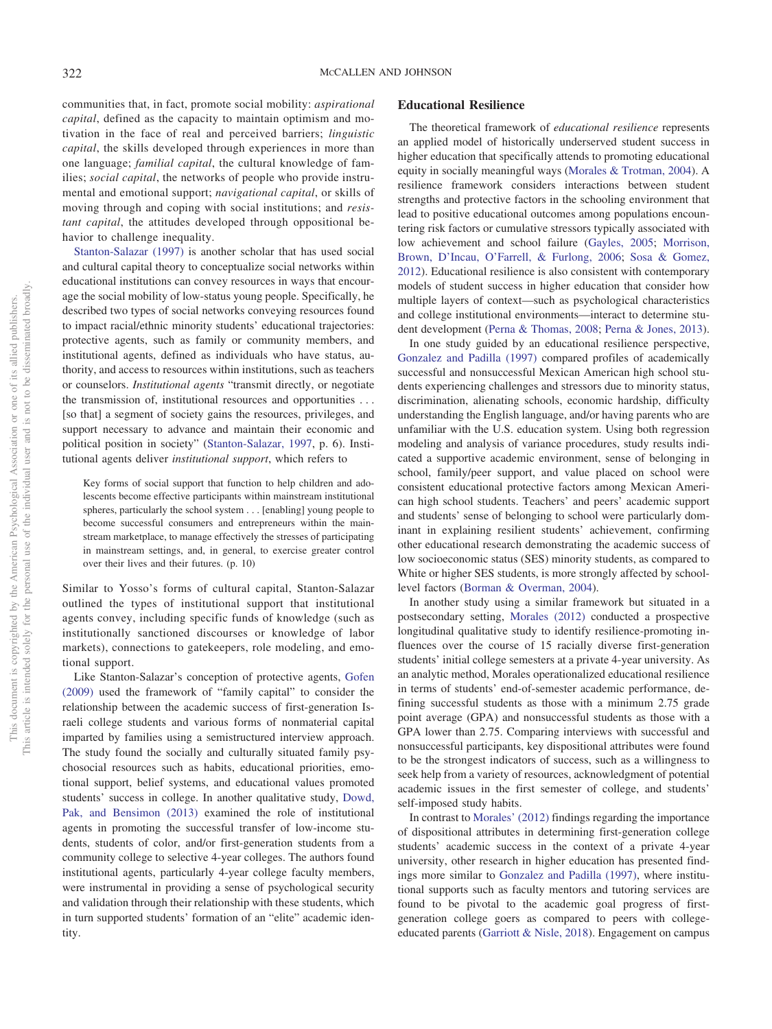communities that, in fact, promote social mobility: *aspirational capital*, defined as the capacity to maintain optimism and motivation in the face of real and perceived barriers; *linguistic capital*, the skills developed through experiences in more than one language; *familial capital*, the cultural knowledge of families; *social capital*, the networks of people who provide instrumental and emotional support; *navigational capital*, or skills of moving through and coping with social institutions; and *resistant capital*, the attitudes developed through oppositional behavior to challenge inequality.

[Stanton-Salazar \(1997\)](#page-12-14) is another scholar that has used social and cultural capital theory to conceptualize social networks within educational institutions can convey resources in ways that encourage the social mobility of low-status young people. Specifically, he described two types of social networks conveying resources found to impact racial/ethnic minority students' educational trajectories: protective agents, such as family or community members, and institutional agents, defined as individuals who have status, authority, and access to resources within institutions, such as teachers or counselors. *Institutional agents* "transmit directly, or negotiate the transmission of, institutional resources and opportunities . . . [so that] a segment of society gains the resources, privileges, and support necessary to advance and maintain their economic and political position in society" [\(Stanton-Salazar, 1997,](#page-12-14) p. 6). Institutional agents deliver *institutional support*, which refers to

Key forms of social support that function to help children and adolescents become effective participants within mainstream institutional spheres, particularly the school system . . . [enabling] young people to become successful consumers and entrepreneurs within the mainstream marketplace, to manage effectively the stresses of participating in mainstream settings, and, in general, to exercise greater control over their lives and their futures. (p. 10)

Similar to Yosso's forms of cultural capital, Stanton-Salazar outlined the types of institutional support that institutional agents convey, including specific funds of knowledge (such as institutionally sanctioned discourses or knowledge of labor markets), connections to gatekeepers, role modeling, and emotional support.

Like Stanton-Salazar's conception of protective agents, [Gofen](#page-11-11) [\(2009\)](#page-11-11) used the framework of "family capital" to consider the relationship between the academic success of first-generation Israeli college students and various forms of nonmaterial capital imparted by families using a semistructured interview approach. The study found the socially and culturally situated family psychosocial resources such as habits, educational priorities, emotional support, belief systems, and educational values promoted students' success in college. In another qualitative study, [Dowd,](#page-11-12) [Pak, and Bensimon \(2013\)](#page-11-12) examined the role of institutional agents in promoting the successful transfer of low-income students, students of color, and/or first-generation students from a community college to selective 4-year colleges. The authors found institutional agents, particularly 4-year college faculty members, were instrumental in providing a sense of psychological security and validation through their relationship with these students, which in turn supported students' formation of an "elite" academic identity.

#### **Educational Resilience**

The theoretical framework of *educational resilience* represents an applied model of historically underserved student success in higher education that specifically attends to promoting educational equity in socially meaningful ways [\(Morales & Trotman, 2004\)](#page-11-13). A resilience framework considers interactions between student strengths and protective factors in the schooling environment that lead to positive educational outcomes among populations encountering risk factors or cumulative stressors typically associated with low achievement and school failure [\(Gayles, 2005;](#page-11-14) [Morrison,](#page-11-15) [Brown, D'Incau, O'Farrell, & Furlong, 2006;](#page-11-15) [Sosa & Gomez,](#page-12-15) [2012\)](#page-12-15). Educational resilience is also consistent with contemporary models of student success in higher education that consider how multiple layers of context—such as psychological characteristics and college institutional environments—interact to determine student development [\(Perna & Thomas, 2008;](#page-12-9) [Perna & Jones, 2013\)](#page-12-16).

In one study guided by an educational resilience perspective, [Gonzalez and Padilla \(1997\)](#page-11-16) compared profiles of academically successful and nonsuccessful Mexican American high school students experiencing challenges and stressors due to minority status, discrimination, alienating schools, economic hardship, difficulty understanding the English language, and/or having parents who are unfamiliar with the U.S. education system. Using both regression modeling and analysis of variance procedures, study results indicated a supportive academic environment, sense of belonging in school, family/peer support, and value placed on school were consistent educational protective factors among Mexican American high school students. Teachers' and peers' academic support and students' sense of belonging to school were particularly dominant in explaining resilient students' achievement, confirming other educational research demonstrating the academic success of low socioeconomic status (SES) minority students, as compared to White or higher SES students, is more strongly affected by schoollevel factors [\(Borman & Overman, 2004\)](#page-10-4).

In another study using a similar framework but situated in a postsecondary setting, [Morales \(2012\)](#page-11-17) conducted a prospective longitudinal qualitative study to identify resilience-promoting influences over the course of 15 racially diverse first-generation students' initial college semesters at a private 4-year university. As an analytic method, Morales operationalized educational resilience in terms of students' end-of-semester academic performance, defining successful students as those with a minimum 2.75 grade point average (GPA) and nonsuccessful students as those with a GPA lower than 2.75. Comparing interviews with successful and nonsuccessful participants, key dispositional attributes were found to be the strongest indicators of success, such as a willingness to seek help from a variety of resources, acknowledgment of potential academic issues in the first semester of college, and students' self-imposed study habits.

In contrast to [Morales' \(2012\)](#page-11-17) findings regarding the importance of dispositional attributes in determining first-generation college students' academic success in the context of a private 4-year university, other research in higher education has presented findings more similar to [Gonzalez and Padilla \(1997\),](#page-11-16) where institutional supports such as faculty mentors and tutoring services are found to be pivotal to the academic goal progress of firstgeneration college goers as compared to peers with collegeeducated parents [\(Garriott & Nisle, 2018\)](#page-11-18). Engagement on campus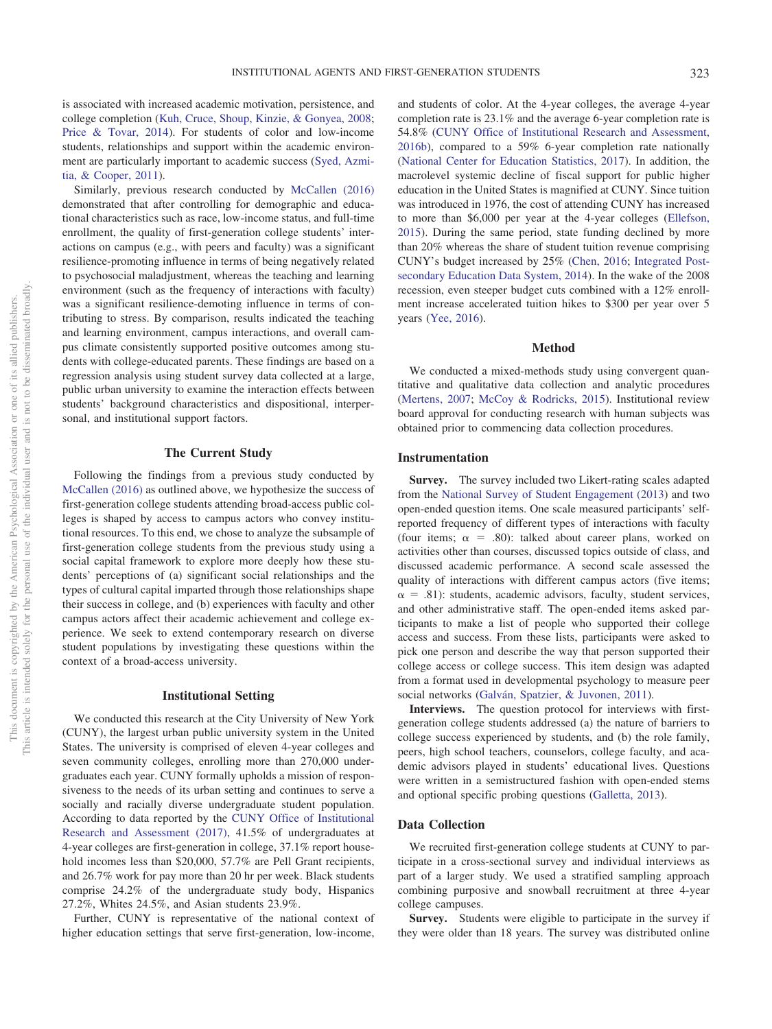is associated with increased academic motivation, persistence, and college completion [\(Kuh, Cruce, Shoup, Kinzie, & Gonyea, 2008;](#page-11-19) [Price & Tovar, 2014\)](#page-12-17). For students of color and low-income students, relationships and support within the academic environment are particularly important to academic success [\(Syed, Azmi](#page-12-18)[tia, & Cooper, 2011\)](#page-12-18).

Similarly, previous research conducted by [McCallen \(2016\)](#page-11-20) demonstrated that after controlling for demographic and educational characteristics such as race, low-income status, and full-time enrollment, the quality of first-generation college students' interactions on campus (e.g., with peers and faculty) was a significant resilience-promoting influence in terms of being negatively related to psychosocial maladjustment, whereas the teaching and learning environment (such as the frequency of interactions with faculty) was a significant resilience-demoting influence in terms of contributing to stress. By comparison, results indicated the teaching and learning environment, campus interactions, and overall campus climate consistently supported positive outcomes among students with college-educated parents. These findings are based on a regression analysis using student survey data collected at a large, public urban university to examine the interaction effects between students' background characteristics and dispositional, interpersonal, and institutional support factors.

## **The Current Study**

Following the findings from a previous study conducted by [McCallen \(2016\)](#page-11-20) as outlined above, we hypothesize the success of first-generation college students attending broad-access public colleges is shaped by access to campus actors who convey institutional resources. To this end, we chose to analyze the subsample of first-generation college students from the previous study using a social capital framework to explore more deeply how these students' perceptions of (a) significant social relationships and the types of cultural capital imparted through those relationships shape their success in college, and (b) experiences with faculty and other campus actors affect their academic achievement and college experience. We seek to extend contemporary research on diverse student populations by investigating these questions within the context of a broad-access university.

## **Institutional Setting**

We conducted this research at the City University of New York (CUNY), the largest urban public university system in the United States. The university is comprised of eleven 4-year colleges and seven community colleges, enrolling more than 270,000 undergraduates each year. CUNY formally upholds a mission of responsiveness to the needs of its urban setting and continues to serve a socially and racially diverse undergraduate student population. According to data reported by the [CUNY Office of Institutional](#page-11-21) [Research and Assessment \(2017\),](#page-11-21) 41.5% of undergraduates at 4-year colleges are first-generation in college, 37.1% report household incomes less than \$20,000, 57.7% are Pell Grant recipients, and 26.7% work for pay more than 20 hr per week. Black students comprise 24.2% of the undergraduate study body, Hispanics 27.2%, Whites 24.5%, and Asian students 23.9%.

Further, CUNY is representative of the national context of higher education settings that serve first-generation, low-income,

and students of color. At the 4-year colleges, the average 4-year completion rate is 23.1% and the average 6-year completion rate is 54.8% [\(CUNY Office of Institutional Research and Assessment,](#page-11-22) [2016b\)](#page-11-22), compared to a 59% 6-year completion rate nationally [\(National Center for Education Statistics, 2017\)](#page-12-0). In addition, the macrolevel systemic decline of fiscal support for public higher education in the United States is magnified at CUNY. Since tuition was introduced in 1976, the cost of attending CUNY has increased to more than \$6,000 per year at the 4-year colleges [\(Ellefson,](#page-11-23) [2015\)](#page-11-23). During the same period, state funding declined by more than 20% whereas the share of student tuition revenue comprising CUNY's budget increased by 25% [\(Chen, 2016;](#page-11-24) [Integrated Post](#page-11-25)[secondary Education Data System, 2014\)](#page-11-25). In the wake of the 2008 recession, even steeper budget cuts combined with a 12% enrollment increase accelerated tuition hikes to \$300 per year over 5 years [\(Yee, 2016\)](#page-12-19).

# **Method**

We conducted a mixed-methods study using convergent quantitative and qualitative data collection and analytic procedures [\(Mertens, 2007;](#page-11-26) [McCoy & Rodricks, 2015\)](#page-11-27). Institutional review board approval for conducting research with human subjects was obtained prior to commencing data collection procedures.

# **Instrumentation**

**Survey.** The survey included two Likert-rating scales adapted from the [National Survey of Student Engagement \(2013\)](#page-12-20) and two open-ended question items. One scale measured participants' selfreported frequency of different types of interactions with faculty (four items;  $\alpha = .80$ ): talked about career plans, worked on activities other than courses, discussed topics outside of class, and discussed academic performance. A second scale assessed the quality of interactions with different campus actors (five items;  $\alpha$  = .81): students, academic advisors, faculty, student services, and other administrative staff. The open-ended items asked participants to make a list of people who supported their college access and success. From these lists, participants were asked to pick one person and describe the way that person supported their college access or college success. This item design was adapted from a format used in developmental psychology to measure peer social networks [\(Galván, Spatzier, & Juvonen, 2011\)](#page-11-28).

**Interviews.** The question protocol for interviews with firstgeneration college students addressed (a) the nature of barriers to college success experienced by students, and (b) the role family, peers, high school teachers, counselors, college faculty, and academic advisors played in students' educational lives. Questions were written in a semistructured fashion with open-ended stems and optional specific probing questions [\(Galletta, 2013\)](#page-11-29).

#### **Data Collection**

We recruited first-generation college students at CUNY to participate in a cross-sectional survey and individual interviews as part of a larger study. We used a stratified sampling approach combining purposive and snowball recruitment at three 4-year college campuses.

**Survey.** Students were eligible to participate in the survey if they were older than 18 years. The survey was distributed online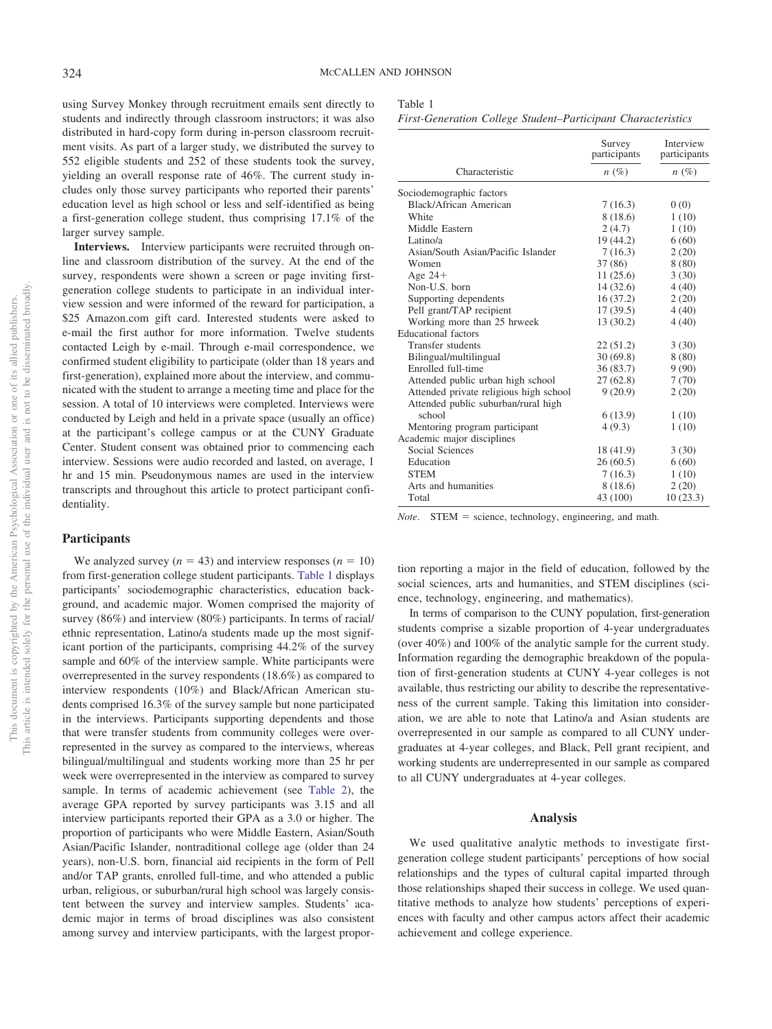using Survey Monkey through recruitment emails sent directly to students and indirectly through classroom instructors; it was also distributed in hard-copy form during in-person classroom recruitment visits. As part of a larger study, we distributed the survey to 552 eligible students and 252 of these students took the survey, yielding an overall response rate of 46%. The current study includes only those survey participants who reported their parents' education level as high school or less and self-identified as being a first-generation college student, thus comprising 17.1% of the larger survey sample.

**Interviews.** Interview participants were recruited through online and classroom distribution of the survey. At the end of the survey, respondents were shown a screen or page inviting firstgeneration college students to participate in an individual interview session and were informed of the reward for participation, a \$25 Amazon.com gift card. Interested students were asked to e-mail the first author for more information. Twelve students contacted Leigh by e-mail. Through e-mail correspondence, we confirmed student eligibility to participate (older than 18 years and first-generation), explained more about the interview, and communicated with the student to arrange a meeting time and place for the session. A total of 10 interviews were completed. Interviews were conducted by Leigh and held in a private space (usually an office) at the participant's college campus or at the CUNY Graduate Center. Student consent was obtained prior to commencing each interview. Sessions were audio recorded and lasted, on average, 1 hr and 15 min. Pseudonymous names are used in the interview transcripts and throughout this article to protect participant confidentiality.

# **Participants**

We analyzed survey  $(n = 43)$  and interview responses  $(n = 10)$ from first-generation college student participants. [Table 1](#page-4-0) displays participants' sociodemographic characteristics, education background, and academic major. Women comprised the majority of survey (86%) and interview (80%) participants. In terms of racial/ ethnic representation, Latino/a students made up the most significant portion of the participants, comprising 44.2% of the survey sample and 60% of the interview sample. White participants were overrepresented in the survey respondents (18.6%) as compared to interview respondents (10%) and Black/African American students comprised 16.3% of the survey sample but none participated in the interviews. Participants supporting dependents and those that were transfer students from community colleges were overrepresented in the survey as compared to the interviews, whereas bilingual/multilingual and students working more than 25 hr per week were overrepresented in the interview as compared to survey sample. In terms of academic achievement (see [Table 2\)](#page-5-0), the average GPA reported by survey participants was 3.15 and all interview participants reported their GPA as a 3.0 or higher. The proportion of participants who were Middle Eastern, Asian/South Asian/Pacific Islander, nontraditional college age (older than 24 years), non-U.S. born, financial aid recipients in the form of Pell and/or TAP grants, enrolled full-time, and who attended a public urban, religious, or suburban/rural high school was largely consistent between the survey and interview samples. Students' academic major in terms of broad disciplines was also consistent among survey and interview participants, with the largest propor-

<span id="page-4-0"></span>

| Fable |
|-------|
|-------|

|                                        | Survey<br>participants | Interview<br>participants |
|----------------------------------------|------------------------|---------------------------|
| Characteristic                         | $n(\%)$                | $n(\%)$                   |
| Sociodemographic factors               |                        |                           |
| Black/African American                 | 7(16.3)                | 0(0)                      |
| White                                  | 8 (18.6)               | 1(10)                     |
| Middle Eastern                         | 2(4.7)                 | 1(10)                     |
| Latino/a                               | 19 (44.2)              | 6(60)                     |
| Asian/South Asian/Pacific Islander     | 7(16.3)                | 2(20)                     |
| Women                                  | 37 (86)                | 8(80)                     |
| Age $24+$                              | 11(25.6)               | 3(30)                     |
| Non-U.S. born                          | 14(32.6)               | 4(40)                     |
| Supporting dependents                  | 16(37.2)               | 2(20)                     |
| Pell grant/TAP recipient               | 17(39.5)               | 4(40)                     |
| Working more than 25 hrweek            | 13(30.2)               | 4(40)                     |
| <b>Educational</b> factors             |                        |                           |
| <b>Transfer students</b>               | 22(51.2)               | 3(30)                     |
| Bilingual/multilingual                 | 30(69.8)               | 8(80)                     |
| Enrolled full-time                     | 36(83.7)               | 9(90)                     |
| Attended public urban high school      | 27 (62.8)              | 7(70)                     |
| Attended private religious high school | 9(20.9)                | 2(20)                     |
| Attended public suburban/rural high    |                        |                           |
| school                                 | 6(13.9)                | 1(10)                     |
| Mentoring program participant          | 4(9.3)                 | 1(10)                     |
| Academic major disciplines             |                        |                           |
| Social Sciences                        | 18 (41.9)              | 3(30)                     |
| Education                              | 26(60.5)               | 6(60)                     |
| <b>STEM</b>                            | 7(16.3)                | 1(10)                     |
| Arts and humanities                    | 8(18.6)                | 2(20)                     |
| Total                                  | 43 (100)               | 10(23.3)                  |

*Note*. STEM = science, technology, engineering, and math.

tion reporting a major in the field of education, followed by the social sciences, arts and humanities, and STEM disciplines (science, technology, engineering, and mathematics).

In terms of comparison to the CUNY population, first-generation students comprise a sizable proportion of 4-year undergraduates (over 40%) and 100% of the analytic sample for the current study. Information regarding the demographic breakdown of the population of first-generation students at CUNY 4-year colleges is not available, thus restricting our ability to describe the representativeness of the current sample. Taking this limitation into consideration, we are able to note that Latino/a and Asian students are overrepresented in our sample as compared to all CUNY undergraduates at 4-year colleges, and Black, Pell grant recipient, and working students are underrepresented in our sample as compared to all CUNY undergraduates at 4-year colleges.

#### **Analysis**

We used qualitative analytic methods to investigate firstgeneration college student participants' perceptions of how social relationships and the types of cultural capital imparted through those relationships shaped their success in college. We used quantitative methods to analyze how students' perceptions of experiences with faculty and other campus actors affect their academic achievement and college experience.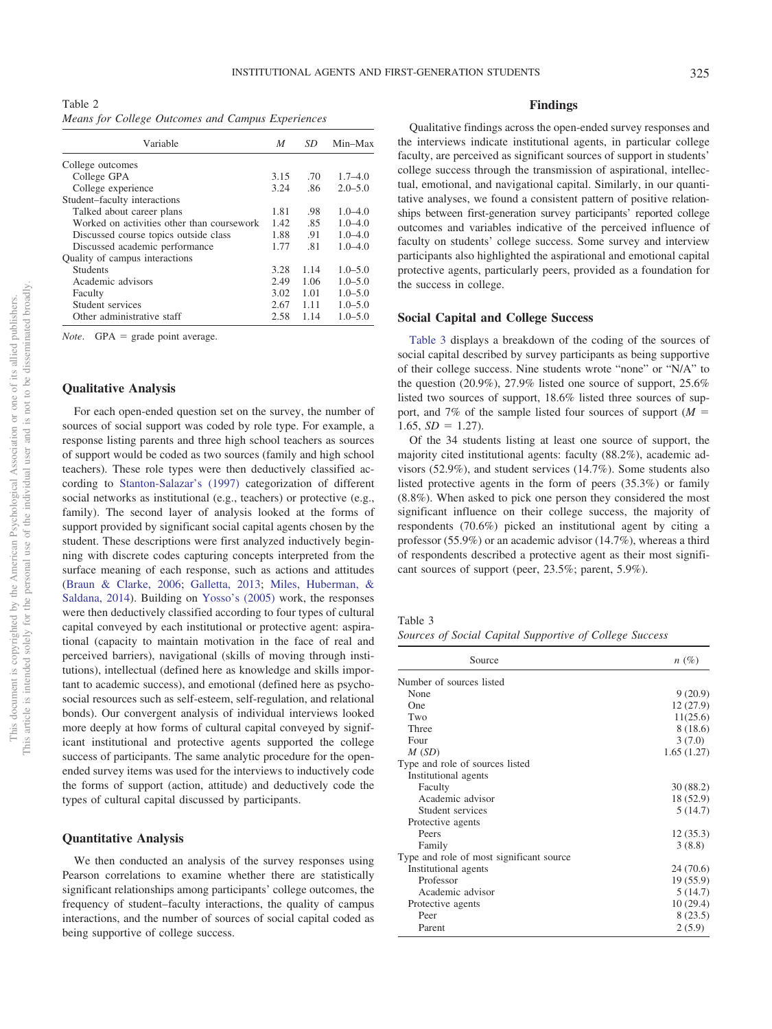<span id="page-5-0"></span>Table 2 *Means for College Outcomes and Campus Experiences*

| Variable                                   | M    | SD   | Min-Max     |
|--------------------------------------------|------|------|-------------|
| College outcomes                           |      |      |             |
| College GPA                                | 3.15 | .70  | $1.7 - 4.0$ |
| College experience                         | 3.24 | .86  | $2.0 - 5.0$ |
| Student-faculty interactions               |      |      |             |
| Talked about career plans                  | 1.81 | .98  | $1.0 - 4.0$ |
| Worked on activities other than coursework | 1.42 | .85  | $1.0 - 4.0$ |
| Discussed course topics outside class      | 1.88 | .91  | $1.0 - 4.0$ |
| Discussed academic performance             | 1.77 | .81  | $1.0 - 4.0$ |
| Quality of campus interactions             |      |      |             |
| <b>Students</b>                            | 3.28 | 1.14 | $1.0 - 5.0$ |
| Academic advisors                          | 2.49 | 1.06 | $1.0 - 5.0$ |
| Faculty                                    | 3.02 | 1.01 | $1.0 - 5.0$ |
| Student services                           | 2.67 | 1.11 | $1.0 - 5.0$ |
| Other administrative staff                 | 2.58 | 1.14 | $1.0 - 5.0$ |

*Note.* GPA = grade point average.

#### **Qualitative Analysis**

For each open-ended question set on the survey, the number of sources of social support was coded by role type. For example, a response listing parents and three high school teachers as sources of support would be coded as two sources (family and high school teachers). These role types were then deductively classified according to [Stanton-Salazar's \(1997\)](#page-12-14) categorization of different social networks as institutional (e.g., teachers) or protective (e.g., family). The second layer of analysis looked at the forms of support provided by significant social capital agents chosen by the student. These descriptions were first analyzed inductively beginning with discrete codes capturing concepts interpreted from the surface meaning of each response, such as actions and attitudes [\(Braun & Clarke, 2006;](#page-10-5) [Galletta, 2013;](#page-11-29) [Miles, Huberman, &](#page-11-30) [Saldana, 2014\)](#page-11-30). Building on [Yosso's \(2005\)](#page-12-13) work, the responses were then deductively classified according to four types of cultural capital conveyed by each institutional or protective agent: aspirational (capacity to maintain motivation in the face of real and perceived barriers), navigational (skills of moving through institutions), intellectual (defined here as knowledge and skills important to academic success), and emotional (defined here as psychosocial resources such as self-esteem, self-regulation, and relational bonds). Our convergent analysis of individual interviews looked more deeply at how forms of cultural capital conveyed by significant institutional and protective agents supported the college success of participants. The same analytic procedure for the openended survey items was used for the interviews to inductively code the forms of support (action, attitude) and deductively code the types of cultural capital discussed by participants.

#### **Quantitative Analysis**

We then conducted an analysis of the survey responses using Pearson correlations to examine whether there are statistically significant relationships among participants' college outcomes, the frequency of student–faculty interactions, the quality of campus interactions, and the number of sources of social capital coded as being supportive of college success.

# **Findings**

Qualitative findings across the open-ended survey responses and the interviews indicate institutional agents, in particular college faculty, are perceived as significant sources of support in students' college success through the transmission of aspirational, intellectual, emotional, and navigational capital. Similarly, in our quantitative analyses, we found a consistent pattern of positive relationships between first-generation survey participants' reported college outcomes and variables indicative of the perceived influence of faculty on students' college success. Some survey and interview participants also highlighted the aspirational and emotional capital protective agents, particularly peers, provided as a foundation for the success in college.

#### **Social Capital and College Success**

[Table 3](#page-5-1) displays a breakdown of the coding of the sources of social capital described by survey participants as being supportive of their college success. Nine students wrote "none" or "N/A" to the question (20.9%), 27.9% listed one source of support, 25.6% listed two sources of support, 18.6% listed three sources of support, and 7% of the sample listed four sources of support (*M* 1.65,  $SD = 1.27$ .

Of the 34 students listing at least one source of support, the majority cited institutional agents: faculty (88.2%), academic advisors (52.9%), and student services (14.7%). Some students also listed protective agents in the form of peers (35.3%) or family (8.8%). When asked to pick one person they considered the most significant influence on their college success, the majority of respondents (70.6%) picked an institutional agent by citing a professor (55.9%) or an academic advisor (14.7%), whereas a third of respondents described a protective agent as their most significant sources of support (peer, 23.5%; parent, 5.9%).

<span id="page-5-1"></span>Table 3

*Sources of Social Capital Supportive of College Success*

| Source                                   | $n(\%)$    |
|------------------------------------------|------------|
| Number of sources listed                 |            |
| None                                     | 9(20.9)    |
| One                                      | 12(27.9)   |
| Two                                      | 11(25.6)   |
| Three                                    | 8 (18.6)   |
| Four                                     | 3(7.0)     |
| M(SD)                                    | 1.65(1.27) |
| Type and role of sources listed          |            |
| Institutional agents                     |            |
| Faculty                                  | 30 (88.2)  |
| Academic advisor                         | 18 (52.9)  |
| Student services                         | 5(14.7)    |
| Protective agents                        |            |
| Peers                                    | 12(35.3)   |
| Family                                   | 3(8.8)     |
| Type and role of most significant source |            |
| Institutional agents                     | 24(70.6)   |
| Professor                                | 19 (55.9)  |
| Academic advisor                         | 5(14.7)    |
| Protective agents                        | 10(29.4)   |
| Peer                                     | 8(23.5)    |
| Parent                                   | 2(5.9)     |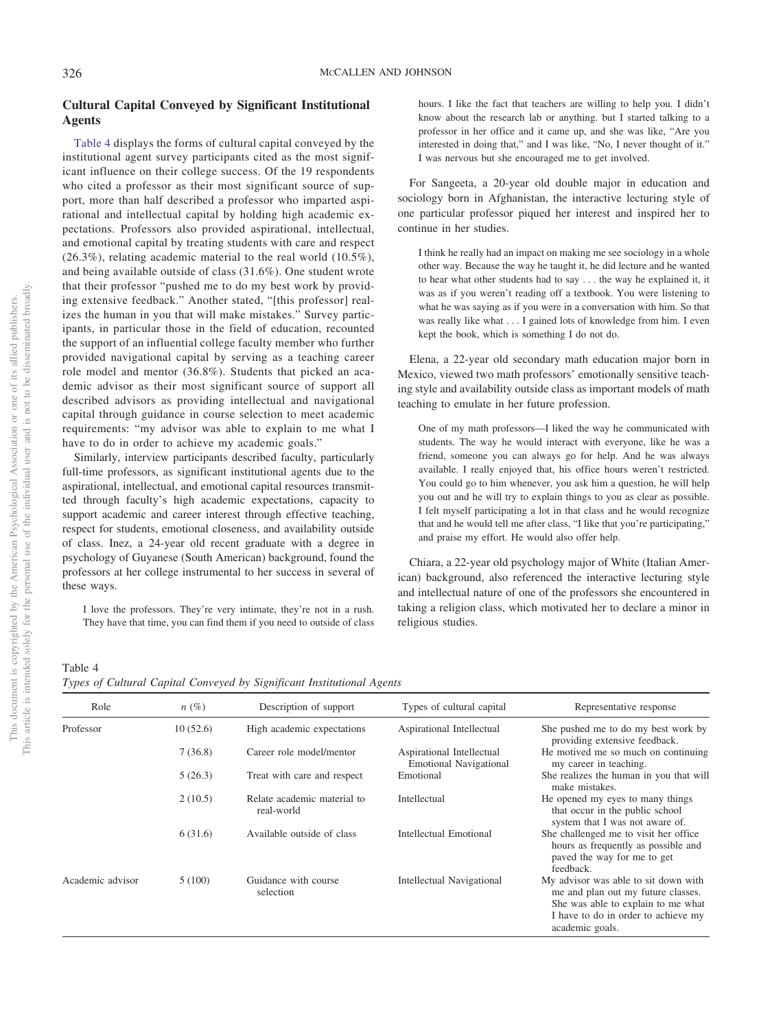# **Cultural Capital Conveyed by Significant Institutional Agents**

[Table 4](#page-6-0) displays the forms of cultural capital conveyed by the institutional agent survey participants cited as the most significant influence on their college success. Of the 19 respondents who cited a professor as their most significant source of support, more than half described a professor who imparted aspirational and intellectual capital by holding high academic expectations. Professors also provided aspirational, intellectual, and emotional capital by treating students with care and respect (26.3%), relating academic material to the real world (10.5%), and being available outside of class (31.6%). One student wrote that their professor "pushed me to do my best work by providing extensive feedback." Another stated, "[this professor] realizes the human in you that will make mistakes." Survey participants, in particular those in the field of education, recounted the support of an influential college faculty member who further provided navigational capital by serving as a teaching career role model and mentor (36.8%). Students that picked an academic advisor as their most significant source of support all described advisors as providing intellectual and navigational capital through guidance in course selection to meet academic requirements: "my advisor was able to explain to me what I have to do in order to achieve my academic goals."

Similarly, interview participants described faculty, particularly full-time professors, as significant institutional agents due to the aspirational, intellectual, and emotional capital resources transmitted through faculty's high academic expectations, capacity to support academic and career interest through effective teaching, respect for students, emotional closeness, and availability outside of class. Inez, a 24-year old recent graduate with a degree in psychology of Guyanese (South American) background, found the professors at her college instrumental to her success in several of these ways.

I love the professors. They're very intimate, they're not in a rush. They have that time, you can find them if you need to outside of class hours. I like the fact that teachers are willing to help you. I didn't know about the research lab or anything. but I started talking to a professor in her office and it came up, and she was like, "Are you interested in doing that," and I was like, "No, I never thought of it." I was nervous but she encouraged me to get involved.

For Sangeeta, a 20-year old double major in education and sociology born in Afghanistan, the interactive lecturing style of one particular professor piqued her interest and inspired her to continue in her studies.

I think he really had an impact on making me see sociology in a whole other way. Because the way he taught it, he did lecture and he wanted to hear what other students had to say . . . the way he explained it, it was as if you weren't reading off a textbook. You were listening to what he was saying as if you were in a conversation with him. So that was really like what . . . I gained lots of knowledge from him. I even kept the book, which is something I do not do.

Elena, a 22-year old secondary math education major born in Mexico, viewed two math professors' emotionally sensitive teaching style and availability outside class as important models of math teaching to emulate in her future profession.

One of my math professors—I liked the way he communicated with students. The way he would interact with everyone, like he was a friend, someone you can always go for help. And he was always available. I really enjoyed that, his office hours weren't restricted. You could go to him whenever, you ask him a question, he will help you out and he will try to explain things to you as clear as possible. I felt myself participating a lot in that class and he would recognize that and he would tell me after class, "I like that you're participating," and praise my effort. He would also offer help.

Chiara, a 22-year old psychology major of White (Italian American) background, also referenced the interactive lecturing style and intellectual nature of one of the professors she encountered in taking a religion class, which motivated her to declare a minor in religious studies.

<span id="page-6-0"></span>

| Table 4                                                                |  |  |  |
|------------------------------------------------------------------------|--|--|--|
| Types of Cultural Capital Conveyed by Significant Institutional Agents |  |  |  |

| Role             | $n(\%)$  | Description of support                    | Types of cultural capital                                  | Representative response                                                                                                                                                    |
|------------------|----------|-------------------------------------------|------------------------------------------------------------|----------------------------------------------------------------------------------------------------------------------------------------------------------------------------|
| Professor        | 10(52.6) | High academic expectations                | Aspirational Intellectual                                  | She pushed me to do my best work by<br>providing extensive feedback.                                                                                                       |
|                  | 7(36.8)  | Career role model/mentor                  | Aspirational Intellectual<br><b>Emotional Navigational</b> | He motived me so much on continuing<br>my career in teaching.                                                                                                              |
|                  | 5(26.3)  | Treat with care and respect               | Emotional                                                  | She realizes the human in you that will<br>make mistakes.                                                                                                                  |
|                  | 2(10.5)  | Relate academic material to<br>real-world | Intellectual                                               | He opened my eyes to many things<br>that occur in the public school<br>system that I was not aware of.                                                                     |
|                  | 6(31.6)  | Available outside of class                | Intellectual Emotional                                     | She challenged me to visit her office.<br>hours as frequently as possible and<br>paved the way for me to get<br>feedback.                                                  |
| Academic advisor | 5(100)   | Guidance with course<br>selection         | Intellectual Navigational                                  | My advisor was able to sit down with<br>me and plan out my future classes.<br>She was able to explain to me what<br>I have to do in order to achieve my<br>academic goals. |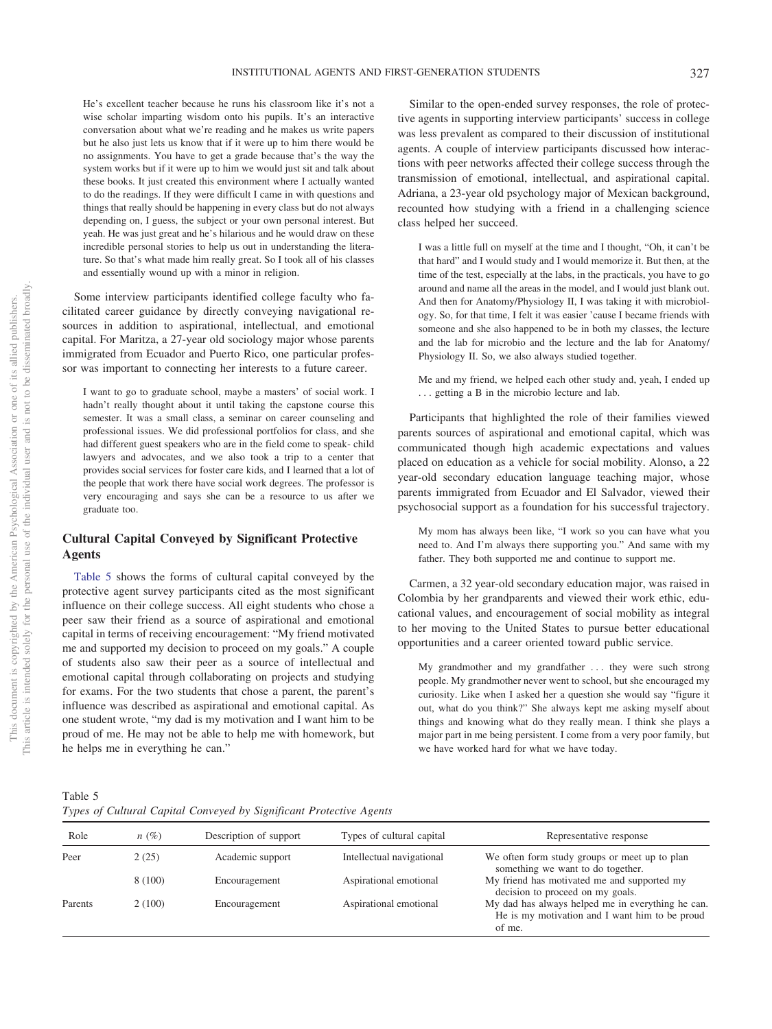He's excellent teacher because he runs his classroom like it's not a wise scholar imparting wisdom onto his pupils. It's an interactive conversation about what we're reading and he makes us write papers but he also just lets us know that if it were up to him there would be no assignments. You have to get a grade because that's the way the system works but if it were up to him we would just sit and talk about these books. It just created this environment where I actually wanted to do the readings. If they were difficult I came in with questions and things that really should be happening in every class but do not always depending on, I guess, the subject or your own personal interest. But yeah. He was just great and he's hilarious and he would draw on these incredible personal stories to help us out in understanding the literature. So that's what made him really great. So I took all of his classes and essentially wound up with a minor in religion.

Some interview participants identified college faculty who facilitated career guidance by directly conveying navigational resources in addition to aspirational, intellectual, and emotional capital. For Maritza, a 27-year old sociology major whose parents immigrated from Ecuador and Puerto Rico, one particular professor was important to connecting her interests to a future career.

I want to go to graduate school, maybe a masters' of social work. I hadn't really thought about it until taking the capstone course this semester. It was a small class, a seminar on career counseling and professional issues. We did professional portfolios for class, and she had different guest speakers who are in the field come to speak- child lawyers and advocates, and we also took a trip to a center that provides social services for foster care kids, and I learned that a lot of the people that work there have social work degrees. The professor is very encouraging and says she can be a resource to us after we graduate too.

# **Cultural Capital Conveyed by Significant Protective Agents**

[Table 5](#page-7-0) shows the forms of cultural capital conveyed by the protective agent survey participants cited as the most significant influence on their college success. All eight students who chose a peer saw their friend as a source of aspirational and emotional capital in terms of receiving encouragement: "My friend motivated me and supported my decision to proceed on my goals." A couple of students also saw their peer as a source of intellectual and emotional capital through collaborating on projects and studying for exams. For the two students that chose a parent, the parent's influence was described as aspirational and emotional capital. As one student wrote, "my dad is my motivation and I want him to be proud of me. He may not be able to help me with homework, but he helps me in everything he can."

Similar to the open-ended survey responses, the role of protective agents in supporting interview participants' success in college was less prevalent as compared to their discussion of institutional agents. A couple of interview participants discussed how interactions with peer networks affected their college success through the transmission of emotional, intellectual, and aspirational capital. Adriana, a 23-year old psychology major of Mexican background, recounted how studying with a friend in a challenging science class helped her succeed.

I was a little full on myself at the time and I thought, "Oh, it can't be that hard" and I would study and I would memorize it. But then, at the time of the test, especially at the labs, in the practicals, you have to go around and name all the areas in the model, and I would just blank out. And then for Anatomy/Physiology II, I was taking it with microbiology. So, for that time, I felt it was easier 'cause I became friends with someone and she also happened to be in both my classes, the lecture and the lab for microbio and the lecture and the lab for Anatomy/ Physiology II. So, we also always studied together.

Me and my friend, we helped each other study and, yeah, I ended up . . . getting a B in the microbio lecture and lab.

Participants that highlighted the role of their families viewed parents sources of aspirational and emotional capital, which was communicated though high academic expectations and values placed on education as a vehicle for social mobility. Alonso, a 22 year-old secondary education language teaching major, whose parents immigrated from Ecuador and El Salvador, viewed their psychosocial support as a foundation for his successful trajectory.

My mom has always been like, "I work so you can have what you need to. And I'm always there supporting you." And same with my father. They both supported me and continue to support me.

Carmen, a 32 year-old secondary education major, was raised in Colombia by her grandparents and viewed their work ethic, educational values, and encouragement of social mobility as integral to her moving to the United States to pursue better educational opportunities and a career oriented toward public service.

My grandmother and my grandfather ... they were such strong people. My grandmother never went to school, but she encouraged my curiosity. Like when I asked her a question she would say "figure it out, what do you think?" She always kept me asking myself about things and knowing what do they really mean. I think she plays a major part in me being persistent. I come from a very poor family, but we have worked hard for what we have today.

<span id="page-7-0"></span>Table 5 *Types of Cultural Capital Conveyed by Significant Protective Agents*

| Role    | n(%)    | Description of support | Types of cultural capital | Representative response                                                                                       |
|---------|---------|------------------------|---------------------------|---------------------------------------------------------------------------------------------------------------|
| Peer    | 2(25)   | Academic support       | Intellectual navigational | We often form study groups or meet up to plan<br>something we want to do together.                            |
|         | 8 (100) | Encouragement          | Aspirational emotional    | My friend has motivated me and supported my<br>decision to proceed on my goals.                               |
| Parents | 2(100)  | Encouragement          | Aspirational emotional    | My dad has always helped me in everything he can.<br>He is my motivation and I want him to be proud<br>of me. |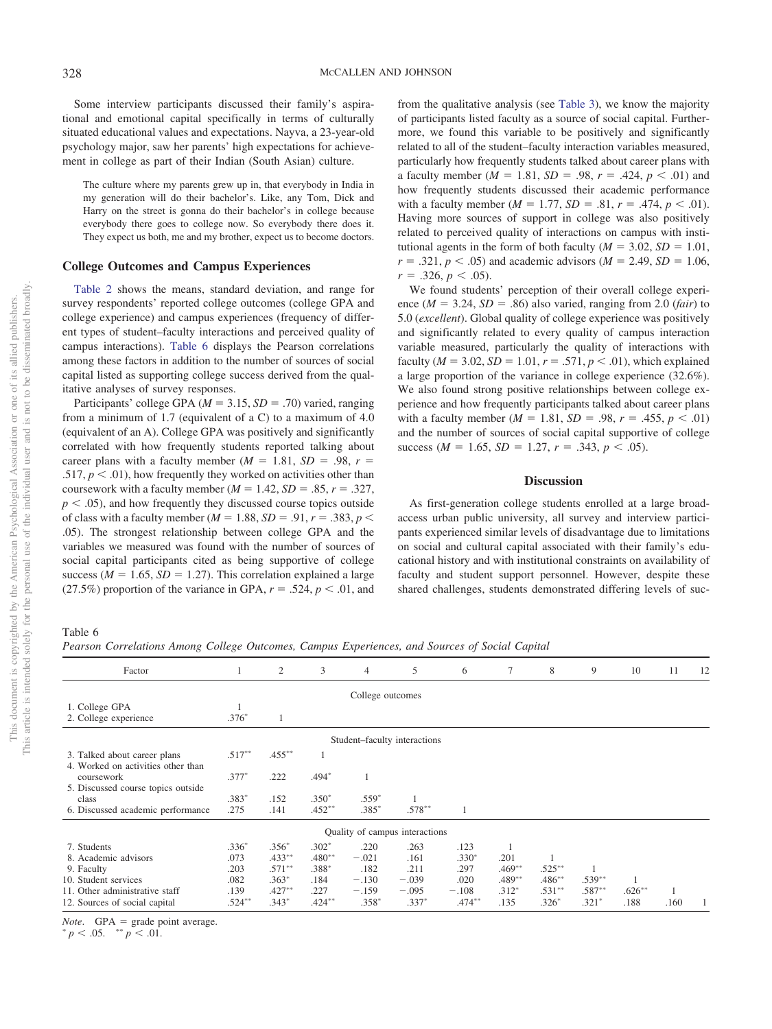Some interview participants discussed their family's aspirational and emotional capital specifically in terms of culturally situated educational values and expectations. Nayva, a 23-year-old psychology major, saw her parents' high expectations for achievement in college as part of their Indian (South Asian) culture.

The culture where my parents grew up in, that everybody in India in my generation will do their bachelor's. Like, any Tom, Dick and Harry on the street is gonna do their bachelor's in college because everybody there goes to college now. So everybody there does it. They expect us both, me and my brother, expect us to become doctors.

## **College Outcomes and Campus Experiences**

[Table 2](#page-5-0) shows the means, standard deviation, and range for survey respondents' reported college outcomes (college GPA and college experience) and campus experiences (frequency of different types of student–faculty interactions and perceived quality of campus interactions). [Table 6](#page-8-0) displays the Pearson correlations among these factors in addition to the number of sources of social capital listed as supporting college success derived from the qualitative analyses of survey responses.

Participants' college GPA ( $M = 3.15$ ,  $SD = .70$ ) varied, ranging from a minimum of 1.7 (equivalent of a C) to a maximum of 4.0 (equivalent of an A). College GPA was positively and significantly correlated with how frequently students reported talking about career plans with a faculty member  $(M = 1.81, SD = .98, r =$ .517,  $p < .01$ ), how frequently they worked on activities other than coursework with a faculty member  $(M = 1.42, SD = .85, r = .327,$  $p < .05$ ), and how frequently they discussed course topics outside of class with a faculty member ( $M = 1.88$ ,  $SD = .91$ ,  $r = .383$ ,  $p <$ .05). The strongest relationship between college GPA and the variables we measured was found with the number of sources of social capital participants cited as being supportive of college success ( $M = 1.65$ ,  $SD = 1.27$ ). This correlation explained a large (27.5%) proportion of the variance in GPA,  $r = .524$ ,  $p < .01$ , and

from the qualitative analysis (see [Table 3\)](#page-5-1), we know the majority of participants listed faculty as a source of social capital. Furthermore, we found this variable to be positively and significantly related to all of the student–faculty interaction variables measured, particularly how frequently students talked about career plans with a faculty member ( $M = 1.81$ ,  $SD = .98$ ,  $r = .424$ ,  $p < .01$ ) and how frequently students discussed their academic performance with a faculty member  $(M = 1.77, SD = .81, r = .474, p < .01)$ . Having more sources of support in college was also positively related to perceived quality of interactions on campus with institutional agents in the form of both faculty ( $M = 3.02$ ,  $SD = 1.01$ ,  $r = .321, p < .05$ ) and academic advisors ( $M = 2.49, SD = 1.06$ ,  $r = .326, p < .05$ ).

We found students' perception of their overall college experience ( $M = 3.24$ ,  $SD = .86$ ) also varied, ranging from 2.0 (*fair*) to 5.0 (*excellent*). Global quality of college experience was positively and significantly related to every quality of campus interaction variable measured, particularly the quality of interactions with faculty ( $M = 3.02$ ,  $SD = 1.01$ ,  $r = .571$ ,  $p < .01$ ), which explained a large proportion of the variance in college experience (32.6%). We also found strong positive relationships between college experience and how frequently participants talked about career plans with a faculty member  $(M = 1.81, SD = .98, r = .455, p < .01)$ and the number of sources of social capital supportive of college success ( $M = 1.65$ ,  $SD = 1.27$ ,  $r = .343$ ,  $p < .05$ ).

# **Discussion**

As first-generation college students enrolled at a large broadaccess urban public university, all survey and interview participants experienced similar levels of disadvantage due to limitations on social and cultural capital associated with their family's educational history and with institutional constraints on availability of faculty and student support personnel. However, despite these shared challenges, students demonstrated differing levels of suc-

<span id="page-8-0"></span>Table 6

This document is copyrighted by the American Psychological Association or one of its allied publishers. This article is intended solely for the personal use of the individual user and is not to be disseminated broadly.

This article is intended solely for the personal use of the individual user and is not to be disseminated broadly This document is copyrighted by the American Psychological Association or one of its allied publishers.

*Pearson Correlations Among College Outcomes, Campus Experiences, and Sources of Social Capital*

| Factor                                                             |                              | 2         | 3         | $\overline{4}$ | 5                              | 6         | $\tau$    | 8         | 9         | 10        | 11   | 12 |
|--------------------------------------------------------------------|------------------------------|-----------|-----------|----------------|--------------------------------|-----------|-----------|-----------|-----------|-----------|------|----|
|                                                                    | College outcomes             |           |           |                |                                |           |           |           |           |           |      |    |
| 1. College GPA                                                     |                              |           |           |                |                                |           |           |           |           |           |      |    |
| 2. College experience                                              | $.376*$                      |           |           |                |                                |           |           |           |           |           |      |    |
|                                                                    | Student-faculty interactions |           |           |                |                                |           |           |           |           |           |      |    |
| 3. Talked about career plans<br>4. Worked on activities other than | $.517***$                    | $.455***$ |           |                |                                |           |           |           |           |           |      |    |
| coursework                                                         | $.377*$                      | .222      | $.494*$   |                |                                |           |           |           |           |           |      |    |
| 5. Discussed course topics outside                                 |                              |           |           |                |                                |           |           |           |           |           |      |    |
| class                                                              | $.383*$                      | .152      | $.350*$   | $.559*$        |                                |           |           |           |           |           |      |    |
| 6. Discussed academic performance                                  | .275                         | .141      | $.452***$ | $.385*$        | $.578***$                      |           |           |           |           |           |      |    |
|                                                                    |                              |           |           |                | Quality of campus interactions |           |           |           |           |           |      |    |
| 7. Students                                                        | $.336*$                      | $.356*$   | $.302*$   | .220           | .263                           | .123      |           |           |           |           |      |    |
| 8. Academic advisors                                               | .073                         | $.433***$ | $.480**$  | $-.021$        | .161                           | $.330*$   | .201      |           |           |           |      |    |
| 9. Faculty                                                         | .203                         | $.571***$ | .388*     | .182           | .211                           | .297      | $.469***$ | $.525***$ |           |           |      |    |
| 10. Student services                                               | .082                         | $.363*$   | .184      | $-.130$        | $-.039$                        | .020      | .489**    | $.486***$ | $.539***$ |           |      |    |
| 11. Other administrative staff                                     | .139                         | $.427***$ | .227      | $-.159$        | $-.095$                        | $-.108$   | $.312*$   | $.531***$ | $.587***$ | $.626***$ |      |    |
| 12. Sources of social capital                                      | $.524***$                    | $.343*$   | $.424***$ | $.358*$        | $.337*$                        | $.474***$ | .135      | $.326*$   | $.321*$   | .188      | .160 |    |
|                                                                    |                              |           |           |                |                                |           |           |           |           |           |      |    |

*Note.* GPA = grade point average.

 $p < .05.$  \*\*  $p < .01.$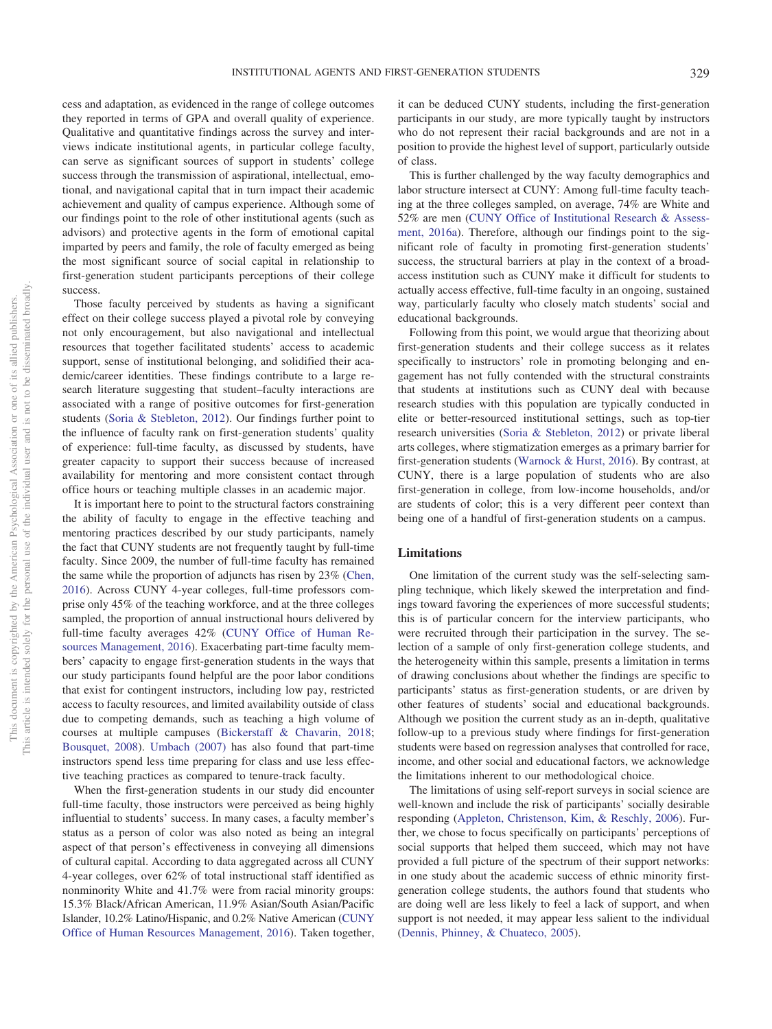cess and adaptation, as evidenced in the range of college outcomes they reported in terms of GPA and overall quality of experience. Qualitative and quantitative findings across the survey and interviews indicate institutional agents, in particular college faculty, can serve as significant sources of support in students' college success through the transmission of aspirational, intellectual, emotional, and navigational capital that in turn impact their academic achievement and quality of campus experience. Although some of our findings point to the role of other institutional agents (such as advisors) and protective agents in the form of emotional capital imparted by peers and family, the role of faculty emerged as being the most significant source of social capital in relationship to first-generation student participants perceptions of their college success.

Those faculty perceived by students as having a significant effect on their college success played a pivotal role by conveying not only encouragement, but also navigational and intellectual resources that together facilitated students' access to academic support, sense of institutional belonging, and solidified their academic/career identities. These findings contribute to a large research literature suggesting that student–faculty interactions are associated with a range of positive outcomes for first-generation students [\(Soria & Stebleton, 2012\)](#page-12-21). Our findings further point to the influence of faculty rank on first-generation students' quality of experience: full-time faculty, as discussed by students, have greater capacity to support their success because of increased availability for mentoring and more consistent contact through office hours or teaching multiple classes in an academic major.

It is important here to point to the structural factors constraining the ability of faculty to engage in the effective teaching and mentoring practices described by our study participants, namely the fact that CUNY students are not frequently taught by full-time faculty. Since 2009, the number of full-time faculty has remained the same while the proportion of adjuncts has risen by 23% [\(Chen,](#page-11-24) [2016\)](#page-11-24). Across CUNY 4-year colleges, full-time professors comprise only 45% of the teaching workforce, and at the three colleges sampled, the proportion of annual instructional hours delivered by full-time faculty averages 42% [\(CUNY Office of Human Re](#page-11-31)[sources Management, 2016\)](#page-11-31). Exacerbating part-time faculty members' capacity to engage first-generation students in the ways that our study participants found helpful are the poor labor conditions that exist for contingent instructors, including low pay, restricted access to faculty resources, and limited availability outside of class due to competing demands, such as teaching a high volume of courses at multiple campuses [\(Bickerstaff & Chavarin, 2018;](#page-10-6) [Bousquet, 2008\)](#page-10-7). [Umbach \(2007\)](#page-12-22) has also found that part-time instructors spend less time preparing for class and use less effective teaching practices as compared to tenure-track faculty.

When the first-generation students in our study did encounter full-time faculty, those instructors were perceived as being highly influential to students' success. In many cases, a faculty member's status as a person of color was also noted as being an integral aspect of that person's effectiveness in conveying all dimensions of cultural capital. According to data aggregated across all CUNY 4-year colleges, over 62% of total instructional staff identified as nonminority White and 41.7% were from racial minority groups: 15.3% Black/African American, 11.9% Asian/South Asian/Pacific Islander, 10.2% Latino/Hispanic, and 0.2% Native American [\(CUNY](#page-11-31) [Office of Human Resources Management, 2016\)](#page-11-31). Taken together,

it can be deduced CUNY students, including the first-generation participants in our study, are more typically taught by instructors who do not represent their racial backgrounds and are not in a position to provide the highest level of support, particularly outside of class.

This is further challenged by the way faculty demographics and labor structure intersect at CUNY: Among full-time faculty teaching at the three colleges sampled, on average, 74% are White and 52% are men [\(CUNY Office of Institutional Research & Assess](#page-11-32)[ment, 2016a\)](#page-11-32). Therefore, although our findings point to the significant role of faculty in promoting first-generation students' success, the structural barriers at play in the context of a broadaccess institution such as CUNY make it difficult for students to actually access effective, full-time faculty in an ongoing, sustained way, particularly faculty who closely match students' social and educational backgrounds.

Following from this point, we would argue that theorizing about first-generation students and their college success as it relates specifically to instructors' role in promoting belonging and engagement has not fully contended with the structural constraints that students at institutions such as CUNY deal with because research studies with this population are typically conducted in elite or better-resourced institutional settings, such as top-tier research universities [\(Soria & Stebleton, 2012\)](#page-12-21) or private liberal arts colleges, where stigmatization emerges as a primary barrier for first-generation students [\(Warnock & Hurst, 2016\)](#page-12-23). By contrast, at CUNY, there is a large population of students who are also first-generation in college, from low-income households, and/or are students of color; this is a very different peer context than being one of a handful of first-generation students on a campus.

## **Limitations**

One limitation of the current study was the self-selecting sampling technique, which likely skewed the interpretation and findings toward favoring the experiences of more successful students; this is of particular concern for the interview participants, who were recruited through their participation in the survey. The selection of a sample of only first-generation college students, and the heterogeneity within this sample, presents a limitation in terms of drawing conclusions about whether the findings are specific to participants' status as first-generation students, or are driven by other features of students' social and educational backgrounds. Although we position the current study as an in-depth, qualitative follow-up to a previous study where findings for first-generation students were based on regression analyses that controlled for race, income, and other social and educational factors, we acknowledge the limitations inherent to our methodological choice.

The limitations of using self-report surveys in social science are well-known and include the risk of participants' socially desirable responding [\(Appleton, Christenson, Kim, & Reschly, 2006\)](#page-10-8). Further, we chose to focus specifically on participants' perceptions of social supports that helped them succeed, which may not have provided a full picture of the spectrum of their support networks: in one study about the academic success of ethnic minority firstgeneration college students, the authors found that students who are doing well are less likely to feel a lack of support, and when support is not needed, it may appear less salient to the individual [\(Dennis, Phinney, & Chuateco, 2005\)](#page-11-33).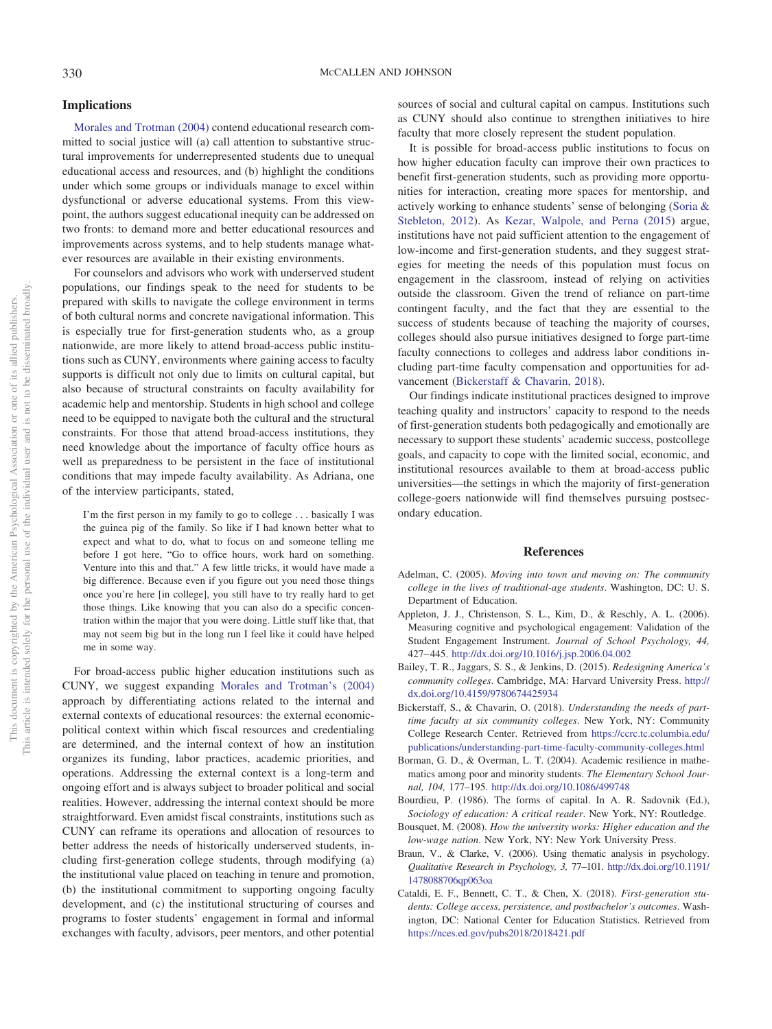## **Implications**

[Morales and Trotman \(2004\)](#page-11-13) contend educational research committed to social justice will (a) call attention to substantive structural improvements for underrepresented students due to unequal educational access and resources, and (b) highlight the conditions under which some groups or individuals manage to excel within dysfunctional or adverse educational systems. From this viewpoint, the authors suggest educational inequity can be addressed on two fronts: to demand more and better educational resources and improvements across systems, and to help students manage whatever resources are available in their existing environments.

For counselors and advisors who work with underserved student populations, our findings speak to the need for students to be prepared with skills to navigate the college environment in terms of both cultural norms and concrete navigational information. This is especially true for first-generation students who, as a group nationwide, are more likely to attend broad-access public institutions such as CUNY, environments where gaining access to faculty supports is difficult not only due to limits on cultural capital, but also because of structural constraints on faculty availability for academic help and mentorship. Students in high school and college need to be equipped to navigate both the cultural and the structural constraints. For those that attend broad-access institutions, they need knowledge about the importance of faculty office hours as well as preparedness to be persistent in the face of institutional conditions that may impede faculty availability. As Adriana, one of the interview participants, stated,

I'm the first person in my family to go to college . . . basically I was the guinea pig of the family. So like if I had known better what to expect and what to do, what to focus on and someone telling me before I got here, "Go to office hours, work hard on something. Venture into this and that." A few little tricks, it would have made a big difference. Because even if you figure out you need those things once you're here [in college], you still have to try really hard to get those things. Like knowing that you can also do a specific concentration within the major that you were doing. Little stuff like that, that may not seem big but in the long run I feel like it could have helped me in some way.

For broad-access public higher education institutions such as CUNY, we suggest expanding [Morales and Trotman's \(2004\)](#page-11-13) approach by differentiating actions related to the internal and external contexts of educational resources: the external economicpolitical context within which fiscal resources and credentialing are determined, and the internal context of how an institution organizes its funding, labor practices, academic priorities, and operations. Addressing the external context is a long-term and ongoing effort and is always subject to broader political and social realities. However, addressing the internal context should be more straightforward. Even amidst fiscal constraints, institutions such as CUNY can reframe its operations and allocation of resources to better address the needs of historically underserved students, including first-generation college students, through modifying (a) the institutional value placed on teaching in tenure and promotion, (b) the institutional commitment to supporting ongoing faculty development, and (c) the institutional structuring of courses and programs to foster students' engagement in formal and informal exchanges with faculty, advisors, peer mentors, and other potential sources of social and cultural capital on campus. Institutions such as CUNY should also continue to strengthen initiatives to hire faculty that more closely represent the student population.

It is possible for broad-access public institutions to focus on how higher education faculty can improve their own practices to benefit first-generation students, such as providing more opportunities for interaction, creating more spaces for mentorship, and actively working to enhance students' sense of belonging [\(Soria &](#page-12-21) [Stebleton, 2012\)](#page-12-21). As [Kezar, Walpole, and Perna \(2015\)](#page-11-34) argue, institutions have not paid sufficient attention to the engagement of low-income and first-generation students, and they suggest strategies for meeting the needs of this population must focus on engagement in the classroom, instead of relying on activities outside the classroom. Given the trend of reliance on part-time contingent faculty, and the fact that they are essential to the success of students because of teaching the majority of courses, colleges should also pursue initiatives designed to forge part-time faculty connections to colleges and address labor conditions including part-time faculty compensation and opportunities for advancement [\(Bickerstaff & Chavarin, 2018\)](#page-10-6).

Our findings indicate institutional practices designed to improve teaching quality and instructors' capacity to respond to the needs of first-generation students both pedagogically and emotionally are necessary to support these students' academic success, postcollege goals, and capacity to cope with the limited social, economic, and institutional resources available to them at broad-access public universities—the settings in which the majority of first-generation college-goers nationwide will find themselves pursuing postsecondary education.

#### **References**

- <span id="page-10-1"></span>Adelman, C. (2005). *Moving into town and moving on: The community college in the lives of traditional-age students*. Washington, DC: U. S. Department of Education.
- <span id="page-10-8"></span>Appleton, J. J., Christenson, S. L., Kim, D., & Reschly, A. L. (2006). Measuring cognitive and psychological engagement: Validation of the Student Engagement Instrument. *Journal of School Psychology, 44,* 427– 445. <http://dx.doi.org/10.1016/j.jsp.2006.04.002>
- <span id="page-10-2"></span>Bailey, T. R., Jaggars, S. S., & Jenkins, D. (2015). *Redesigning America's community colleges*. Cambridge, MA: Harvard University Press. [http://](http://dx.doi.org/10.4159/9780674425934) [dx.doi.org/10.4159/9780674425934](http://dx.doi.org/10.4159/9780674425934)
- <span id="page-10-6"></span>Bickerstaff, S., & Chavarin, O. (2018). *Understanding the needs of parttime faculty at six community colleges*. New York, NY: Community College Research Center. Retrieved from [https://ccrc.tc.columbia.edu/](https://ccrc.tc.columbia.edu/publications/understanding-part-time-faculty-community-colleges.html) [publications/understanding-part-time-faculty-community-colleges.html](https://ccrc.tc.columbia.edu/publications/understanding-part-time-faculty-community-colleges.html)
- <span id="page-10-4"></span>Borman, G. D., & Overman, L. T. (2004). Academic resilience in mathematics among poor and minority students. *The Elementary School Journal, 104,* 177–195. <http://dx.doi.org/10.1086/499748>
- <span id="page-10-3"></span>Bourdieu, P. (1986). The forms of capital. In A. R. Sadovnik (Ed.), *Sociology of education: A critical reader*. New York, NY: Routledge.
- <span id="page-10-7"></span>Bousquet, M. (2008). *How the university works: Higher education and the low-wage nation*. New York, NY: New York University Press.
- <span id="page-10-5"></span>Braun, V., & Clarke, V. (2006). Using thematic analysis in psychology. *Qualitative Research in Psychology, 3,* 77–101. [http://dx.doi.org/10.1191/](http://dx.doi.org/10.1191/1478088706qp063oa) [1478088706qp063oa](http://dx.doi.org/10.1191/1478088706qp063oa)
- <span id="page-10-0"></span>Cataldi, E. F., Bennett, C. T., & Chen, X. (2018). *First-generation students: College access, persistence, and postbachelor's outcomes*. Washington, DC: National Center for Education Statistics. Retrieved from <https://nces.ed.gov/pubs2018/2018421.pdf>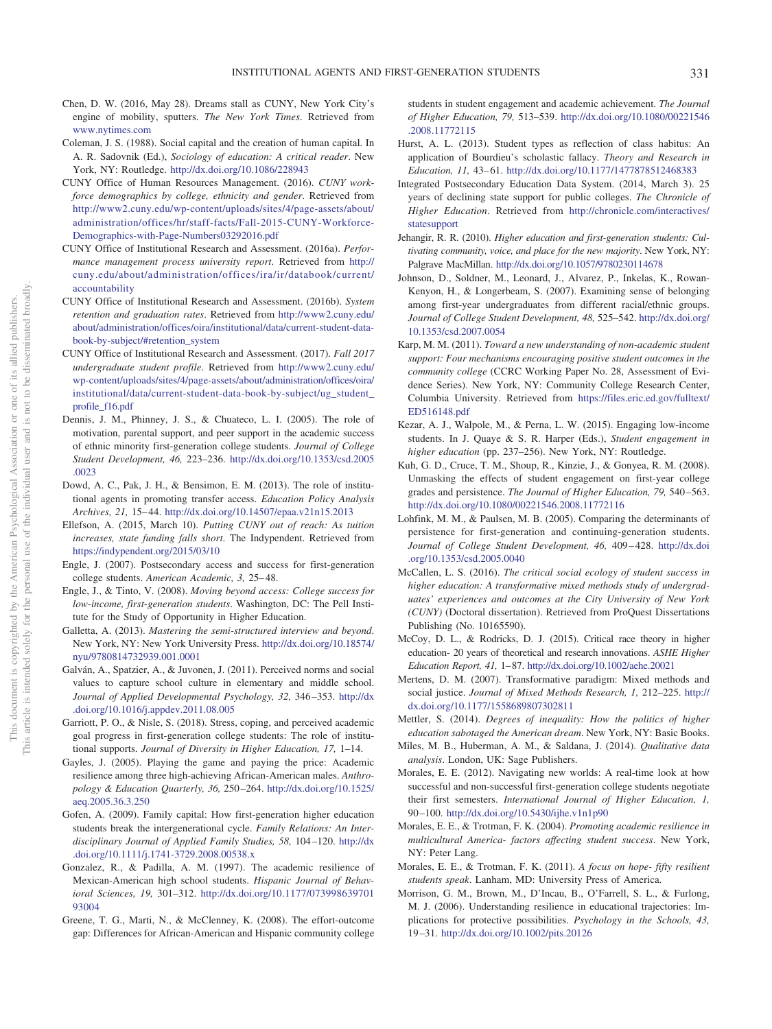- <span id="page-11-24"></span>Chen, D. W. (2016, May 28). Dreams stall as CUNY, New York City's engine of mobility, sputters. *The New York Times*. Retrieved from [www.nytimes.com](http://www.nytimes.com)
- <span id="page-11-9"></span>Coleman, J. S. (1988). Social capital and the creation of human capital. In A. R. Sadovnik (Ed.), *Sociology of education: A critical reader*. New York, NY: Routledge. <http://dx.doi.org/10.1086/228943>
- <span id="page-11-31"></span>CUNY Office of Human Resources Management. (2016). *CUNY workforce demographics by college, ethnicity and gender*. Retrieved from [http://www2.cuny.edu/wp-content/uploads/sites/4/page-assets/about/](http://www2.cuny.edu/wp-content/uploads/sites/4/page-assets/about/administration/offices/hr/staff-facts/Fall-2015-CUNY-Workforce-Demographics-with-Page-Numbers03292016.pdf) [administration/offices/hr/staff-facts/Fall-2015-CUNY-Workforce-](http://www2.cuny.edu/wp-content/uploads/sites/4/page-assets/about/administration/offices/hr/staff-facts/Fall-2015-CUNY-Workforce-Demographics-with-Page-Numbers03292016.pdf)[Demographics-with-Page-Numbers03292016.pdf](http://www2.cuny.edu/wp-content/uploads/sites/4/page-assets/about/administration/offices/hr/staff-facts/Fall-2015-CUNY-Workforce-Demographics-with-Page-Numbers03292016.pdf)
- <span id="page-11-32"></span>CUNY Office of Institutional Research and Assessment. (2016a). *Performance management process university report*. Retrieved from [http://](http://cuny.edu/about/administration/offices/ira/ir/databook/current/accountability) [cuny.edu/about/administration/offices/ira/ir/databook/current/](http://cuny.edu/about/administration/offices/ira/ir/databook/current/accountability) [accountability](http://cuny.edu/about/administration/offices/ira/ir/databook/current/accountability)
- <span id="page-11-22"></span>CUNY Office of Institutional Research and Assessment. (2016b). *System retention and graduation rates*. Retrieved from [http://www2.cuny.edu/](http://www2.cuny.edu/about/administration/offices/oira/institutional/data/current-student-data-book-by-subject/#retention_system) [about/administration/offices/oira/institutional/data/current-student-data](http://www2.cuny.edu/about/administration/offices/oira/institutional/data/current-student-data-book-by-subject/#retention_system)[book-by-subject/#retention\\_system](http://www2.cuny.edu/about/administration/offices/oira/institutional/data/current-student-data-book-by-subject/#retention_system)
- <span id="page-11-21"></span>CUNY Office of Institutional Research and Assessment. (2017). *Fall 2017 undergraduate student profile*. Retrieved from [http://www2.cuny.edu/](http://www2.cuny.edu/wp-content/uploads/sites/4/page-assets/about/administration/offices/oira/institutional/data/current-student-data-book-by-subject/ug_student_profile_f16.pdf) [wp-content/uploads/sites/4/page-assets/about/administration/offices/oira/](http://www2.cuny.edu/wp-content/uploads/sites/4/page-assets/about/administration/offices/oira/institutional/data/current-student-data-book-by-subject/ug_student_profile_f16.pdf) [institutional/data/current-student-data-book-by-subject/ug\\_student\\_](http://www2.cuny.edu/wp-content/uploads/sites/4/page-assets/about/administration/offices/oira/institutional/data/current-student-data-book-by-subject/ug_student_profile_f16.pdf) [profile\\_f16.pdf](http://www2.cuny.edu/wp-content/uploads/sites/4/page-assets/about/administration/offices/oira/institutional/data/current-student-data-book-by-subject/ug_student_profile_f16.pdf)
- <span id="page-11-33"></span>Dennis, J. M., Phinney, J. S., & Chuateco, L. I. (2005). The role of motivation, parental support, and peer support in the academic success of ethnic minority first-generation college students. *Journal of College Student Development, 46,* 223–236. [http://dx.doi.org/10.1353/csd.2005](http://dx.doi.org/10.1353/csd.2005.0023) [.0023](http://dx.doi.org/10.1353/csd.2005.0023)
- <span id="page-11-12"></span>Dowd, A. C., Pak, J. H., & Bensimon, E. M. (2013). The role of institutional agents in promoting transfer access. *Education Policy Analysis Archives, 21,* 15– 44. <http://dx.doi.org/10.14507/epaa.v21n15.2013>
- <span id="page-11-23"></span>Ellefson, A. (2015, March 10). *Putting CUNY out of reach: As tuition increases, state funding falls short*. The Indypendent. Retrieved from <https://indypendent.org/2015/03/10>
- <span id="page-11-0"></span>Engle, J. (2007). Postsecondary access and success for first-generation college students. American Academic, 3, 25-48.
- <span id="page-11-4"></span>Engle, J., & Tinto, V. (2008). *Moving beyond access: College success for low-income, first-generation students*. Washington, DC: The Pell Institute for the Study of Opportunity in Higher Education.
- <span id="page-11-29"></span>Galletta, A. (2013). *Mastering the semi-structured interview and beyond*. New York, NY: New York University Press. [http://dx.doi.org/10.18574/](http://dx.doi.org/10.18574/nyu/9780814732939.001.0001) [nyu/9780814732939.001.0001](http://dx.doi.org/10.18574/nyu/9780814732939.001.0001)
- <span id="page-11-28"></span>Galván, A., Spatzier, A., & Juvonen, J. (2011). Perceived norms and social values to capture school culture in elementary and middle school. *Journal of Applied Developmental Psychology, 32,* 346 –353. [http://dx](http://dx.doi.org/10.1016/j.appdev.2011.08.005) [.doi.org/10.1016/j.appdev.2011.08.005](http://dx.doi.org/10.1016/j.appdev.2011.08.005)
- <span id="page-11-18"></span>Garriott, P. O., & Nisle, S. (2018). Stress, coping, and perceived academic goal progress in first-generation college students: The role of institutional supports. *Journal of Diversity in Higher Education, 17,* 1–14.
- <span id="page-11-14"></span>Gayles, J. (2005). Playing the game and paying the price: Academic resilience among three high-achieving African-American males. *Anthropology & Education Quarterly, 36,* 250 –264. [http://dx.doi.org/10.1525/](http://dx.doi.org/10.1525/aeq.2005.36.3.250) [aeq.2005.36.3.250](http://dx.doi.org/10.1525/aeq.2005.36.3.250)
- <span id="page-11-11"></span>Gofen, A. (2009). Family capital: How first-generation higher education students break the intergenerational cycle. *Family Relations: An Interdisciplinary Journal of Applied Family Studies, 58,* 104 –120. [http://dx](http://dx.doi.org/10.1111/j.1741-3729.2008.00538.x) [.doi.org/10.1111/j.1741-3729.2008.00538.x](http://dx.doi.org/10.1111/j.1741-3729.2008.00538.x)
- <span id="page-11-16"></span>Gonzalez, R., & Padilla, A. M. (1997). The academic resilience of Mexican-American high school students. *Hispanic Journal of Behavioral Sciences, 19,* 301–312. [http://dx.doi.org/10.1177/073998639701](http://dx.doi.org/10.1177/07399863970193004) [93004](http://dx.doi.org/10.1177/07399863970193004)
- <span id="page-11-3"></span>Greene, T. G., Marti, N., & McClenney, K. (2008). The effort-outcome gap: Differences for African-American and Hispanic community college

students in student engagement and academic achievement. *The Journal of Higher Education, 79,* 513–539. [http://dx.doi.org/10.1080/00221546](http://dx.doi.org/10.1080/00221546.2008.11772115) [.2008.11772115](http://dx.doi.org/10.1080/00221546.2008.11772115)

- <span id="page-11-10"></span>Hurst, A. L. (2013). Student types as reflection of class habitus: An application of Bourdieu's scholastic fallacy. *Theory and Research in Education, 11,* 43– 61. <http://dx.doi.org/10.1177/1477878512468383>
- <span id="page-11-25"></span>Integrated Postsecondary Education Data System. (2014, March 3). 25 years of declining state support for public colleges. *The Chronicle of Higher Education*. Retrieved from [http://chronicle.com/interactives/](http://chronicle.com/interactives/statesupport) [statesupport](http://chronicle.com/interactives/statesupport)
- <span id="page-11-5"></span>Jehangir, R. R. (2010). *Higher education and first-generation students: Cultivating community, voice, and place for the new majority*. New York, NY: Palgrave MacMillan. <http://dx.doi.org/10.1057/9780230114678>
- <span id="page-11-6"></span>Johnson, D., Soldner, M., Leonard, J., Alvarez, P., Inkelas, K., Rowan-Kenyon, H., & Longerbeam, S. (2007). Examining sense of belonging among first-year undergraduates from different racial/ethnic groups. *Journal of College Student Development, 48,* 525–542. [http://dx.doi.org/](http://dx.doi.org/10.1353/csd.2007.0054) [10.1353/csd.2007.0054](http://dx.doi.org/10.1353/csd.2007.0054)
- <span id="page-11-7"></span>Karp, M. M. (2011). *Toward a new understanding of non-academic student support: Four mechanisms encouraging positive student outcomes in the community college* (CCRC Working Paper No. 28, Assessment of Evidence Series). New York, NY: Community College Research Center, Columbia University. Retrieved from [https://files.eric.ed.gov/fulltext/](https://files.eric.ed.gov/fulltext/ED516148.pdf) [ED516148.pdf](https://files.eric.ed.gov/fulltext/ED516148.pdf)
- <span id="page-11-34"></span>Kezar, A. J., Walpole, M., & Perna, L. W. (2015). Engaging low-income students. In J. Quaye & S. R. Harper (Eds.), *Student engagement in higher education* (pp. 237–256). New York, NY: Routledge.
- <span id="page-11-19"></span>Kuh, G. D., Cruce, T. M., Shoup, R., Kinzie, J., & Gonyea, R. M. (2008). Unmasking the effects of student engagement on first-year college grades and persistence. *The Journal of Higher Education, 79,* 540 –563. <http://dx.doi.org/10.1080/00221546.2008.11772116>
- <span id="page-11-2"></span>Lohfink, M. M., & Paulsen, M. B. (2005). Comparing the determinants of persistence for first-generation and continuing-generation students. *Journal of College Student Development, 46,* 409 – 428. [http://dx.doi](http://dx.doi.org/10.1353/csd.2005.0040) [.org/10.1353/csd.2005.0040](http://dx.doi.org/10.1353/csd.2005.0040)
- <span id="page-11-20"></span>McCallen, L. S. (2016). *The critical social ecology of student success in higher education: A transformative mixed methods study of undergraduates' experiences and outcomes at the City University of New York (CUNY)* (Doctoral dissertation). Retrieved from ProQuest Dissertations Publishing (No. 10165590).
- <span id="page-11-27"></span>McCoy, D. L., & Rodricks, D. J. (2015). Critical race theory in higher education- 20 years of theoretical and research innovations. *ASHE Higher Education Report, 41,* 1– 87. <http://dx.doi.org/10.1002/aehe.20021>
- <span id="page-11-26"></span>Mertens, D. M. (2007). Transformative paradigm: Mixed methods and social justice. *Journal of Mixed Methods Research, 1,* 212–225. [http://](http://dx.doi.org/10.1177/1558689807302811) [dx.doi.org/10.1177/1558689807302811](http://dx.doi.org/10.1177/1558689807302811)
- <span id="page-11-1"></span>Mettler, S. (2014). *Degrees of inequality: How the politics of higher education sabotaged the American dream*. New York, NY: Basic Books.
- <span id="page-11-30"></span>Miles, M. B., Huberman, A. M., & Saldana, J. (2014). *Qualitative data analysis*. London, UK: Sage Publishers.
- <span id="page-11-17"></span>Morales, E. E. (2012). Navigating new worlds: A real-time look at how successful and non-successful first-generation college students negotiate their first semesters. *International Journal of Higher Education, 1,* 90 –100. <http://dx.doi.org/10.5430/ijhe.v1n1p90>
- <span id="page-11-13"></span>Morales, E. E., & Trotman, F. K. (2004). *Promoting academic resilience in multicultural America- factors affecting student success*. New York, NY: Peter Lang.
- <span id="page-11-8"></span>Morales, E. E., & Trotman, F. K. (2011). *A focus on hope- fifty resilient students speak*. Lanham, MD: University Press of America.
- <span id="page-11-15"></span>Morrison, G. M., Brown, M., D'Incau, B., O'Farrell, S. L., & Furlong, M. J. (2006). Understanding resilience in educational trajectories: Implications for protective possibilities. *Psychology in the Schools, 43,* 19 –31. <http://dx.doi.org/10.1002/pits.20126>